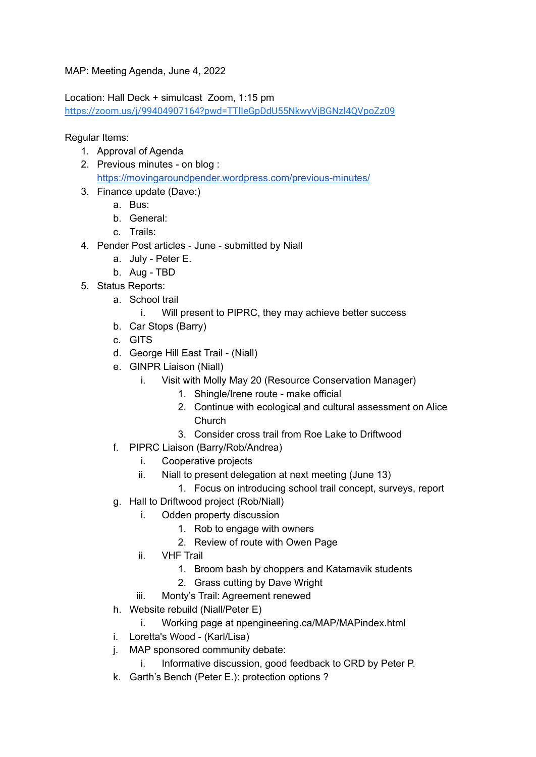MAP: Meeting Agenda, June 4, 2022

Location: Hall Deck + simulcast Zoom, 1:15 pm <https://zoom.us/j/99404907164?pwd=TTlIeGpDdU55NkwyVjBGNzl4QVpoZz09>

Regular Items:

- 1. Approval of Agenda
- 2. Previous minutes on blog : <https://movingaroundpender.wordpress.com/previous-minutes/>
- 3. Finance update (Dave:)
	- a. Bus:
	- b. General:
	- c. Trails:
- 4. Pender Post articles June submitted by Niall
	- a. July Peter E.
	- b. Aug TBD
- 5. Status Reports:
	- a. School trail
		- i. Will present to PIPRC, they may achieve better success
	- b. Car Stops (Barry)
	- c. GITS
	- d. George Hill East Trail (Niall)
	- e. GINPR Liaison (Niall)
		- i. Visit with Molly May 20 (Resource Conservation Manager)
			- 1. Shingle/Irene route make official
			- 2. Continue with ecological and cultural assessment on Alice Church
			- 3. Consider cross trail from Roe Lake to Driftwood
	- f. PIPRC Liaison (Barry/Rob/Andrea)
		- i. Cooperative projects
		- ii. Niall to present delegation at next meeting (June 13)
			- 1. Focus on introducing school trail concept, surveys, report
	- g. Hall to Driftwood project (Rob/Niall)
		- i. Odden property discussion
			- 1. Rob to engage with owners
			- 2. Review of route with Owen Page
			- ii. VHF Trail
				- 1. Broom bash by choppers and Katamavik students
				- 2. Grass cutting by Dave Wright
			- iii. Monty's Trail: Agreement renewed
	- h. Website rebuild (Niall/Peter E)
		- i. Working page at npengineering.ca/MAP/MAPindex.html
	- i. Loretta's Wood (Karl/Lisa)
	- j. MAP sponsored community debate:
		- i. Informative discussion, good feedback to CRD by Peter P.
	- k. Garth's Bench (Peter E.): protection options ?